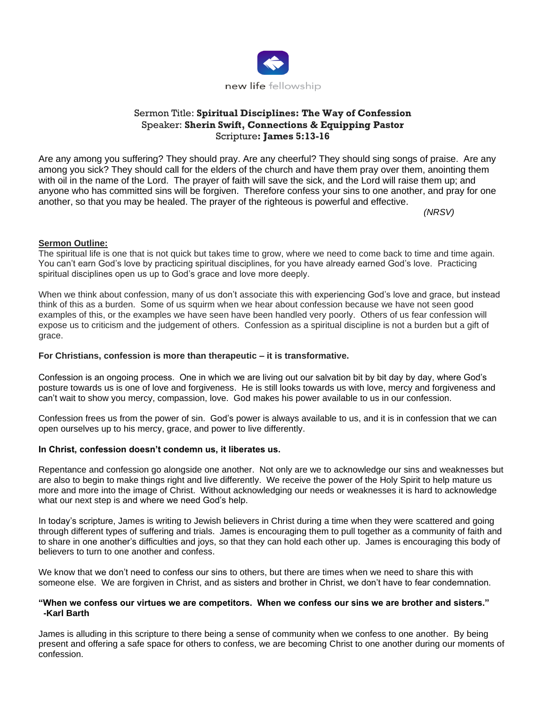

# Sermon Title: **Spiritual Disciplines: The Way of Confession** Speaker: **Sherin Swift, Connections & Equipping Pastor** Scripture**: James 5:13-16**

Are any among you suffering? They should pray. Are any cheerful? They should sing songs of praise. Are any among you sick? They should call for the elders of the church and have them pray over them, anointing them with oil in the name of the Lord. The prayer of faith will save the sick, and the Lord will raise them up; and anyone who has committed sins will be forgiven. Therefore confess your sins to one another, and pray for one another, so that you may be healed. The prayer of the righteous is powerful and effective.

*(NRSV)*

### **Sermon Outline:**

The spiritual life is one that is not quick but takes time to grow, where we need to come back to time and time again. You can't earn God's love by practicing spiritual disciplines, for you have already earned God's love. Practicing spiritual disciplines open us up to God's grace and love more deeply.

When we think about confession, many of us don't associate this with experiencing God's love and grace, but instead think of this as a burden. Some of us squirm when we hear about confession because we have not seen good examples of this, or the examples we have seen have been handled very poorly. Others of us fear confession will expose us to criticism and the judgement of others. Confession as a spiritual discipline is not a burden but a gift of grace.

### **For Christians, confession is more than therapeutic – it is transformative.**

Confession is an ongoing process. One in which we are living out our salvation bit by bit day by day, where God's posture towards us is one of love and forgiveness. He is still looks towards us with love, mercy and forgiveness and can't wait to show you mercy, compassion, love. God makes his power available to us in our confession.

Confession frees us from the power of sin. God's power is always available to us, and it is in confession that we can open ourselves up to his mercy, grace, and power to live differently.

#### **In Christ, confession doesn't condemn us, it liberates us.**

Repentance and confession go alongside one another. Not only are we to acknowledge our sins and weaknesses but are also to begin to make things right and live differently. We receive the power of the Holy Spirit to help mature us more and more into the image of Christ. Without acknowledging our needs or weaknesses it is hard to acknowledge what our next step is and where we need God's help.

In today's scripture, James is writing to Jewish believers in Christ during a time when they were scattered and going through different types of suffering and trials. James is encouraging them to pull together as a community of faith and to share in one another's difficulties and joys, so that they can hold each other up. James is encouraging this body of believers to turn to one another and confess.

We know that we don't need to confess our sins to others, but there are times when we need to share this with someone else. We are forgiven in Christ, and as sisters and brother in Christ, we don't have to fear condemnation.

#### **"When we confess our virtues we are competitors. When we confess our sins we are brother and sisters." -Karl Barth**

James is alluding in this scripture to there being a sense of community when we confess to one another. By being present and offering a safe space for others to confess, we are becoming Christ to one another during our moments of confession.